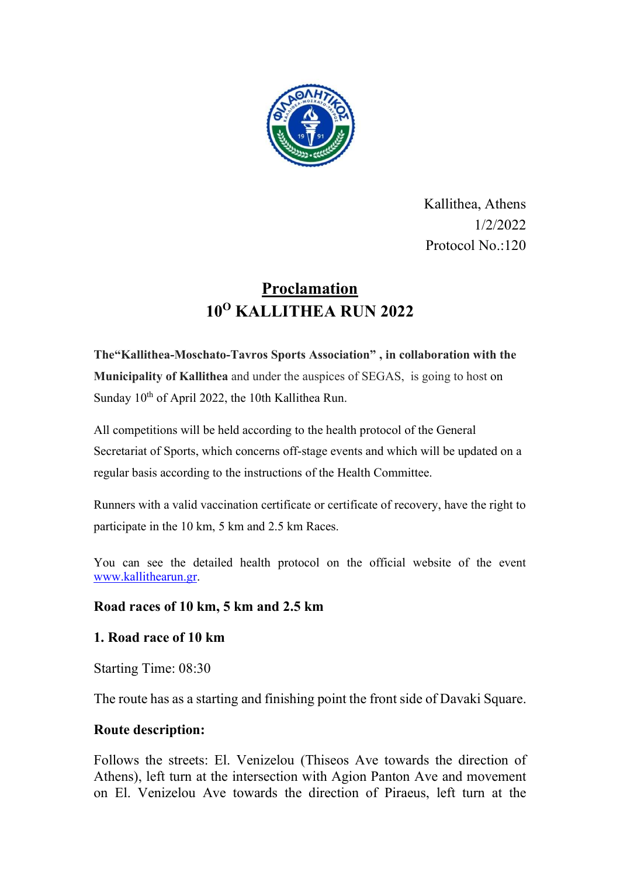

Kallithea, Athens 1/2/2022 Protocol No.:120

# Proclamation 10<sup>Ο</sup> KALLITHEA RUN 2022

The"Kallithea-Moschato-Tavros Sports Association" , in collaboration with the Municipality of Kallithea and under the auspices of SEGAS, is going to host on Sunday  $10^{th}$  of April 2022, the 10th Kallithea Run.

All competitions will be held according to the health protocol of the General Secretariat of Sports, which concerns off-stage events and which will be updated on a regular basis according to the instructions of the Health Committee.

Runners with a valid vaccination certificate or certificate of recovery, have the right to participate in the 10 km, 5 km and 2.5 km Races.

You can see the detailed health protocol on the official website of the event www.kallithearun.gr.

# Road races of 10 km, 5 km and 2.5 km

# 1. Road race of 10 km

Starting Time: 08:30

The route has as a starting and finishing point the front side of Davaki Square.

### Route description:

Follows the streets: El. Venizelou (Thiseos Ave towards the direction of Athens), left turn at the intersection with Agion Panton Ave and movement on El. Venizelou Ave towards the direction of Piraeus, left turn at the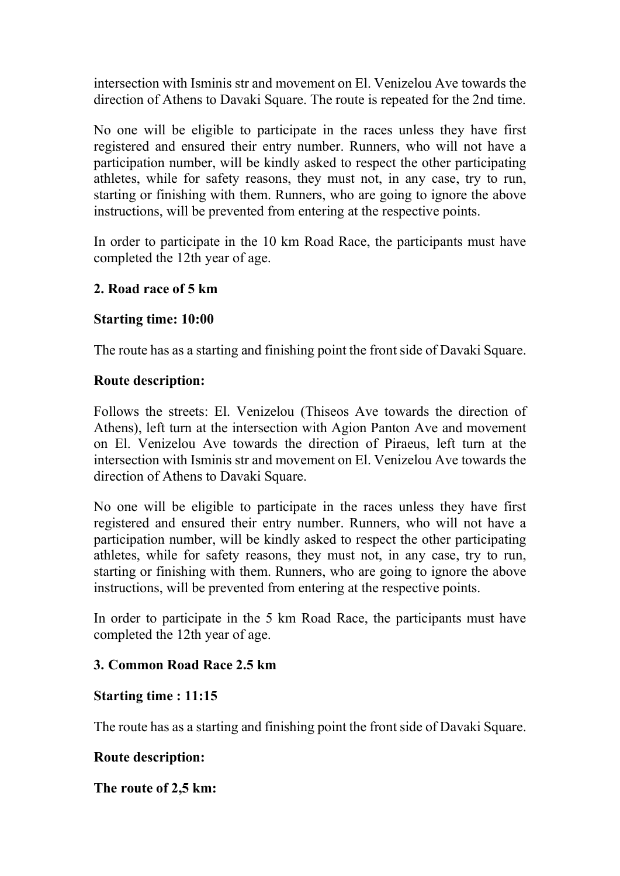intersection with Isminis str and movement on El. Venizelou Ave towards the direction of Athens to Davaki Square. The route is repeated for the 2nd time.

No one will be eligible to participate in the races unless they have first registered and ensured their entry number. Runners, who will not have a participation number, will be kindly asked to respect the other participating athletes, while for safety reasons, they must not, in any case, try to run, starting or finishing with them. Runners, who are going to ignore the above instructions, will be prevented from entering at the respective points.

In order to participate in the 10 km Road Race, the participants must have completed the 12th year of age.

# 2. Road race of 5 km

# Starting time: 10:00

The route has as a starting and finishing point the front side of Davaki Square.

### Route description:

Follows the streets: El. Venizelou (Thiseos Ave towards the direction of Athens), left turn at the intersection with Agion Panton Ave and movement on El. Venizelou Ave towards the direction of Piraeus, left turn at the intersection with Isminis str and movement on El. Venizelou Ave towards the direction of Athens to Davaki Square.

No one will be eligible to participate in the races unless they have first registered and ensured their entry number. Runners, who will not have a participation number, will be kindly asked to respect the other participating athletes, while for safety reasons, they must not, in any case, try to run, starting or finishing with them. Runners, who are going to ignore the above instructions, will be prevented from entering at the respective points.

In order to participate in the 5 km Road Race, the participants must have completed the 12th year of age.

# 3. Common Road Race 2.5 km

### Starting time : 11:15

The route has as a starting and finishing point the front side of Davaki Square.

# Route description:

Τhe route of 2,5 km: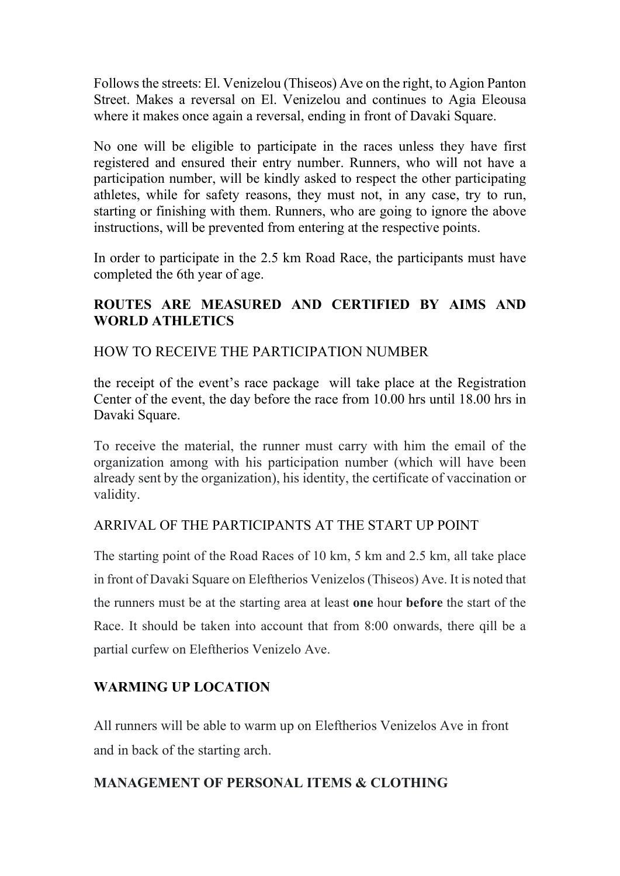Follows the streets: El. Venizelou (Thiseos) Ave on the right, to Agion Panton Street. Makes a reversal on El. Venizelou and continues to Agia Eleousa where it makes once again a reversal, ending in front of Davaki Square.

No one will be eligible to participate in the races unless they have first registered and ensured their entry number. Runners, who will not have a participation number, will be kindly asked to respect the other participating athletes, while for safety reasons, they must not, in any case, try to run, starting or finishing with them. Runners, who are going to ignore the above instructions, will be prevented from entering at the respective points.

In order to participate in the 2.5 km Road Race, the participants must have completed the 6th year of age.

# ROUTES ARE MEASURED AND CERTIFIED BY AIMS AND WORLD ATHLETICS

# HOW TO RECEIVE THE PARTICIPATION NUMBER

the receipt of the event's race package will take place at the Registration Center of the event, the day before the race from 10.00 hrs until 18.00 hrs in Davaki Square.

To receive the material, the runner must carry with him the email of the organization among with his participation number (which will have been already sent by the organization), his identity, the certificate of vaccination or validity.

# ARRIVAL OF THE PARTICIPANTS AT THE START UP POINT

The starting point of the Road Races of 10 km, 5 km and 2.5 km, all take place in front of Davaki Square on Eleftherios Venizelos (Thiseos) Ave. It is noted that the runners must be at the starting area at least one hour before the start of the Race. It should be taken into account that from 8:00 onwards, there qill be a partial curfew on Eleftherios Venizelo Ave.

# WARMING UP LOCATION

All runners will be able to warm up on Eleftherios Venizelos Ave in front and in back of the starting arch.

# MANAGEMENT OF PERSONAL ITEMS & CLOTHING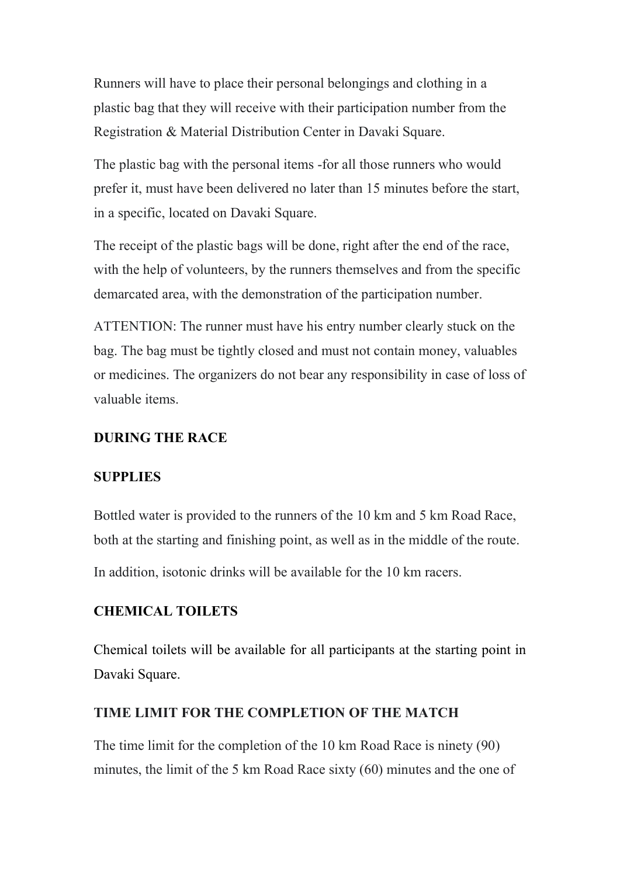Runners will have to place their personal belongings and clothing in a plastic bag that they will receive with their participation number from the Registration & Material Distribution Center in Davaki Square.

The plastic bag with the personal items -for all those runners who would prefer it, must have been delivered no later than 15 minutes before the start, in a specific, located on Davaki Square.

The receipt of the plastic bags will be done, right after the end of the race, with the help of volunteers, by the runners themselves and from the specific demarcated area, with the demonstration of the participation number.

ATTENTION: The runner must have his entry number clearly stuck on the bag. The bag must be tightly closed and must not contain money, valuables or medicines. The organizers do not bear any responsibility in case of loss of valuable items.

#### DURING THE RACE

#### **SUPPLIES**

Bottled water is provided to the runners of the 10 km and 5 km Road Race, both at the starting and finishing point, as well as in the middle of the route. In addition, isotonic drinks will be available for the 10 km racers.

### CHEMICAL TOILETS

Chemical toilets will be available for all participants at the starting point in Davaki Square.

#### TIME LIMIT FOR THE COMPLETION OF THE MATCH

The time limit for the completion of the 10 km Road Race is ninety (90) minutes, the limit of the 5 km Road Race sixty (60) minutes and the one of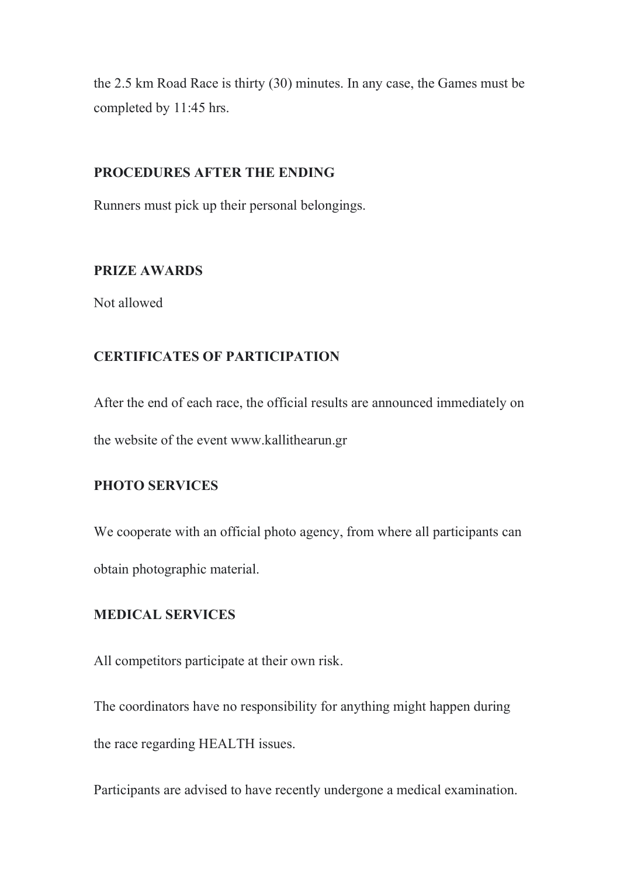the 2.5 km Road Race is thirty (30) minutes. In any case, the Games must be completed by 11:45 hrs.

#### PROCEDURES AFTER THE ENDING

Runners must pick up their personal belongings.

### PRIZE AWARDS

Not allowed

### CERTIFICATES OF PARTICIPATION

After the end of each race, the official results are announced immediately on the website of the event www.kallithearun.gr

# PHOTO SERVICES

We cooperate with an official photo agency, from where all participants can obtain photographic material.

### MEDICAL SERVICES

All competitors participate at their own risk.

The coordinators have no responsibility for anything might happen during the race regarding HEALTH issues.

Participants are advised to have recently undergone a medical examination.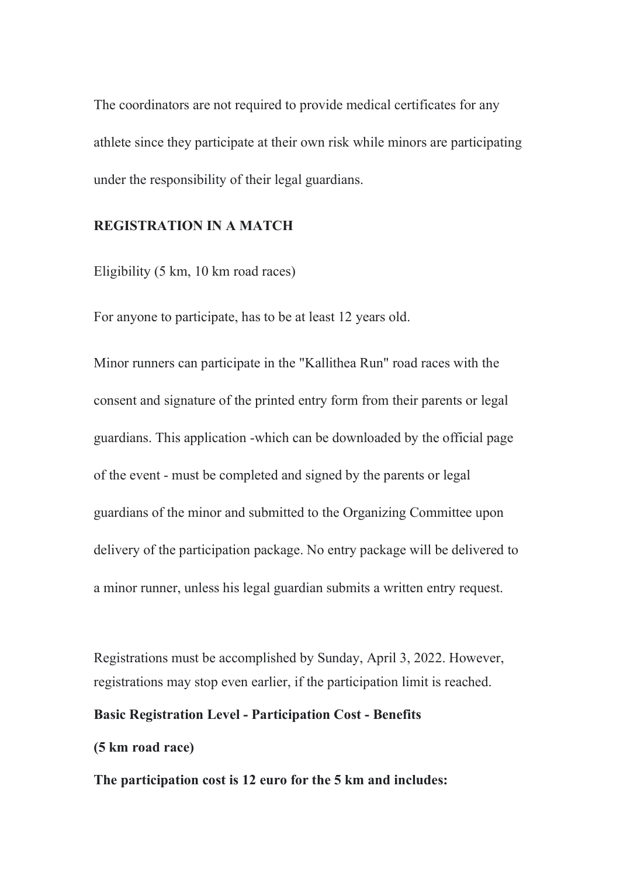The coordinators are not required to provide medical certificates for any athlete since they participate at their own risk while minors are participating under the responsibility of their legal guardians.

### REGISTRATION IN A MATCH

Eligibility (5 km, 10 km road races)

For anyone to participate, has to be at least 12 years old.

Minor runners can participate in the "Kallithea Run" road races with the consent and signature of the printed entry form from their parents or legal guardians. This application -which can be downloaded by the official page of the event - must be completed and signed by the parents or legal guardians of the minor and submitted to the Organizing Committee upon delivery of the participation package. No entry package will be delivered to a minor runner, unless his legal guardian submits a written entry request.

Registrations must be accomplished by Sunday, April 3, 2022. However, registrations may stop even earlier, if the participation limit is reached.

### Basic Registration Level - Participation Cost - Benefits

#### (5 km road race)

The participation cost is 12 euro for the 5 km and includes: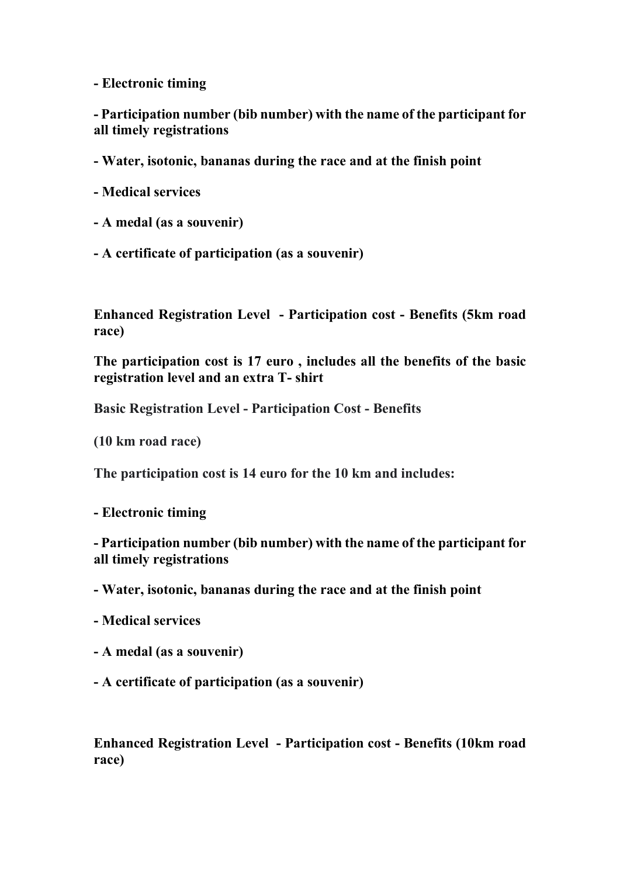- Electronic timing

- Participation number (bib number) with the name of the participant for all timely registrations

- Water, isotonic, bananas during the race and at the finish point

- Medical services

- Α medal (as a souvenir)
- A certificate of participation (as a souvenir)

Enhanced Registration Level - Participation cost - Benefits (5km road race)

The participation cost is 17 euro , includes all the benefits of the basic registration level and an extra T- shirt

Basic Registration Level - Participation Cost - Benefits

(10 km road race)

The participation cost is 14 euro for the 10 km and includes:

- Electronic timing

- Participation number (bib number) with the name of the participant for all timely registrations

- Water, isotonic, bananas during the race and at the finish point

- Medical services
- Α medal (as a souvenir)
- A certificate of participation (as a souvenir)

Enhanced Registration Level - Participation cost - Benefits (10km road race)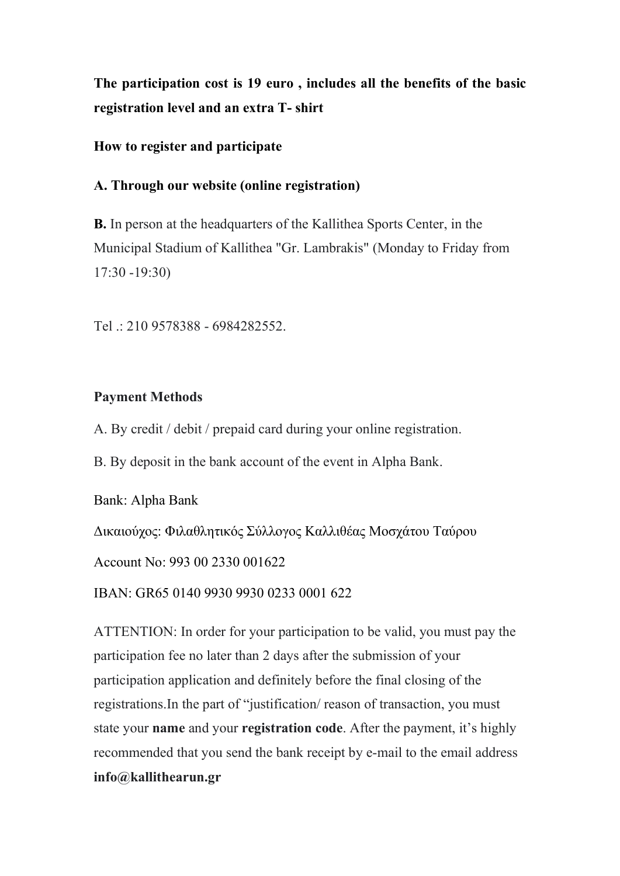The participation cost is 19 euro , includes all the benefits of the basic registration level and an extra T- shirt

# How to register and participate

# Α. Through our website (online registration)

Β. In person at the headquarters of the Kallithea Sports Center, in the Municipal Stadium of Kallithea "Gr. Lambrakis" (Monday to Friday from 17:30 -19:30)

Tel .: 210 9578388 - 6984282552.

### Payment Methods

A. By credit / debit / prepaid card during your online registration.

B. By deposit in the bank account of the event in Alpha Bank.

Bank: Alpha Bank

Δικαιούχος: Φιλαθλητικός Σύλλογος Καλλιθέας Μοσχάτου Ταύρου

Account No: 993 00 2330 001622

IBAN: GR65 0140 9930 9930 0233 0001 622

ATTENTION: In order for your participation to be valid, you must pay the participation fee no later than 2 days after the submission of your participation application and definitely before the final closing of the registrations.Ιn the part of "justification/ reason of transaction, you must state your name and your registration code. After the payment, it's highly recommended that you send the bank receipt by e-mail to the email address info@kallithearun.gr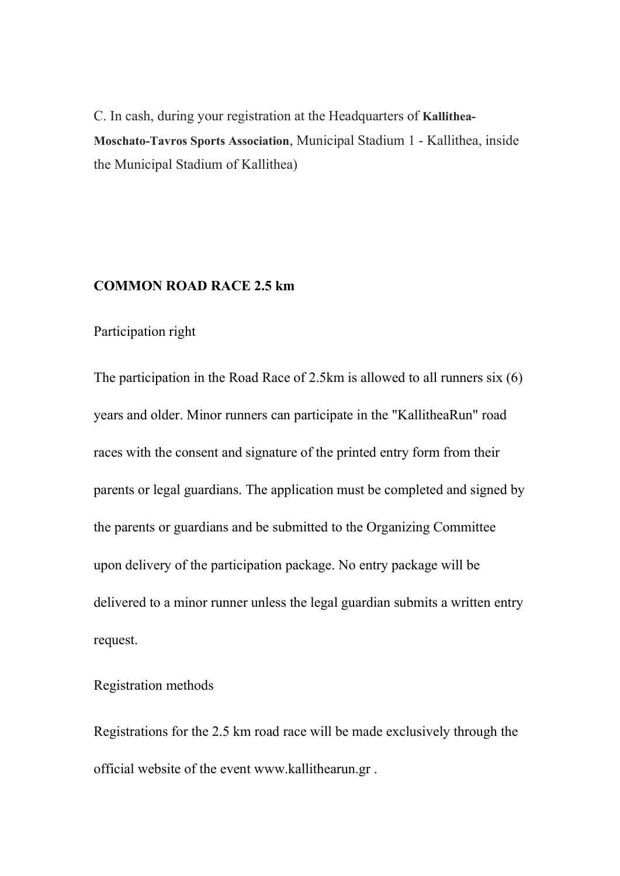C. In cash, during your registration at the Headquarters of Kallithea-Moschato-Tavros Sports Association, Municipal Stadium 1 - Kallithea, inside the Municipal Stadium of Kallithea)

### COMMON ROAD RACE 2.5 km

### Participation right

The participation in the Road Race of 2.5km is allowed to all runners six (6) years and older. Minor runners can participate in the "KallitheaRun" road races with the consent and signature of the printed entry form from their parents or legal guardians. The application must be completed and signed by the parents or guardians and be submitted to the Organizing Committee upon delivery of the participation package. No entry package will be delivered to a minor runner unless the legal guardian submits a written entry request.

#### Registration methods

Registrations for the 2.5 km road race will be made exclusively through the official website of the event www.kallithearun.gr .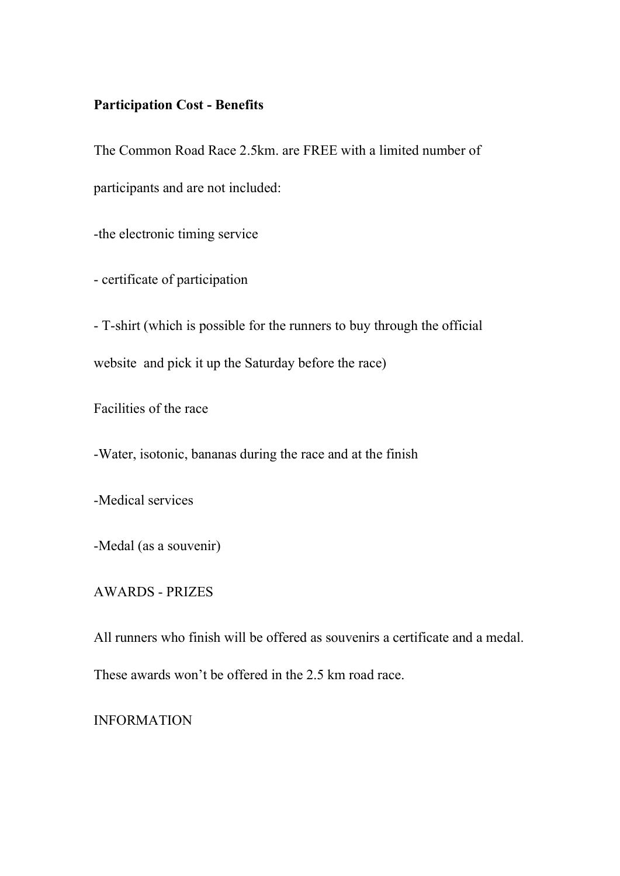# Participation Cost - Benefits

The Common Road Race 2.5km. are FREE with a limited number of participants and are not included:

-the electronic timing service

- certificate of participation

- T-shirt (which is possible for the runners to buy through the official website and pick it up the Saturday before the race)

Facilities of the race

-Water, isotonic, bananas during the race and at the finish

-Medical services

-Medal (as a souvenir)

AWARDS - PRIZES

All runners who finish will be offered as souvenirs a certificate and a medal.

These awards won't be offered in the 2.5 km road race.

INFORMATION